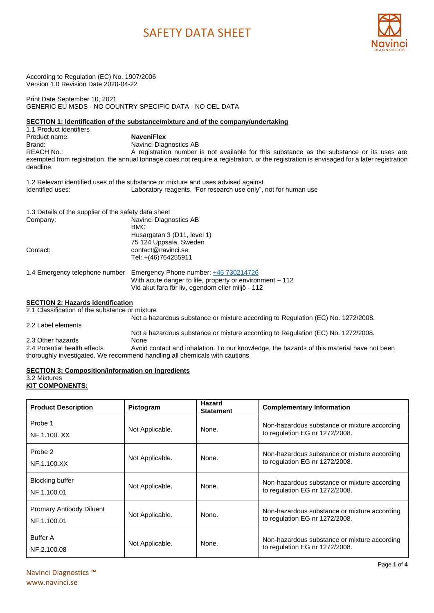

According to Regulation (EC) No. 1907/2006 Version 1.0 Revision Date 2020-04-22

Print Date September 10, 2021 GENERIC EU MSDS - NO COUNTRY SPECIFIC DATA - NO OEL DATA

### **SECTION 1: Identification of the substance/mixture and of the company/undertaking**

1.1 Product identifiers Product name: **NaveniFlex** Brand: Navinci Diagnostics AB<br>REACH No.: Notify A registration number A registration number is not available for this substance as the substance or its uses are exempted from registration, the annual tonnage does not require a registration, or the registration is envisaged for a later registration deadline.

1.2 Relevant identified uses of the substance or mixture and uses advised against Identified uses: Laboratory reagents, "For research use only", not for human use

| 1.3 Details of the supplier of the safety data sheet |                                                                                                                                                       |
|------------------------------------------------------|-------------------------------------------------------------------------------------------------------------------------------------------------------|
| Company:                                             | Navinci Diagnostics AB<br>BMC                                                                                                                         |
|                                                      | Husargatan 3 (D11, level 1)                                                                                                                           |
|                                                      | 75 124 Uppsala, Sweden                                                                                                                                |
| Contact:                                             | contact@navinci.se                                                                                                                                    |
|                                                      | Tel: +(46)764255911                                                                                                                                   |
| 1.4 Emergency telephone number                       | Emergency Phone number: +46 730214726<br>With acute danger to life, property or environment - 112<br>Vid akut fara för liv, egendom eller miljö - 112 |

#### **SECTION 2: Hazards identification**

2.1 Classification of the substance or mixture

|                              | Not a hazardous substance or mixture according to Regulation (EC) No. 1272/2008.           |
|------------------------------|--------------------------------------------------------------------------------------------|
| 2.2 Label elements           |                                                                                            |
|                              | Not a hazardous substance or mixture according to Regulation (EC) No. 1272/2008.           |
| 2.3 Other hazards            | None                                                                                       |
| 2.4 Potential health effects | Avoid contact and inhalation. To our knowledge, the hazards of this material have not been |
|                              | thoroughly investigated. We recommend handling all chemicals with cautions.                |

#### **SECTION 3: Composition/information on ingredients**

## 3.2 Mixtures

### **KIT COMPONENTS:**

| <b>Product Description</b>                     | <b>Pictogram</b> | Hazard<br><b>Statement</b> | <b>Complementary Information</b>                                               |
|------------------------------------------------|------------------|----------------------------|--------------------------------------------------------------------------------|
| Probe 1<br>NF.1.100. XX                        | Not Applicable.  | None.                      | Non-hazardous substance or mixture according<br>to regulation EG nr 1272/2008. |
| Probe 2<br>NF.1.100.XX                         | Not Applicable.  | None.                      | Non-hazardous substance or mixture according<br>to regulation EG nr 1272/2008. |
| <b>Blocking buffer</b><br>NF.1.100.01          | Not Applicable.  | None.                      | Non-hazardous substance or mixture according<br>to regulation EG nr 1272/2008. |
| <b>Promary Antibody Diluent</b><br>NF.1.100.01 | Not Applicable.  | None.                      | Non-hazardous substance or mixture according<br>to regulation EG nr 1272/2008. |
| <b>Buffer A</b><br>NF.2.100.08                 | Not Applicable.  | None.                      | Non-hazardous substance or mixture according<br>to regulation EG nr 1272/2008. |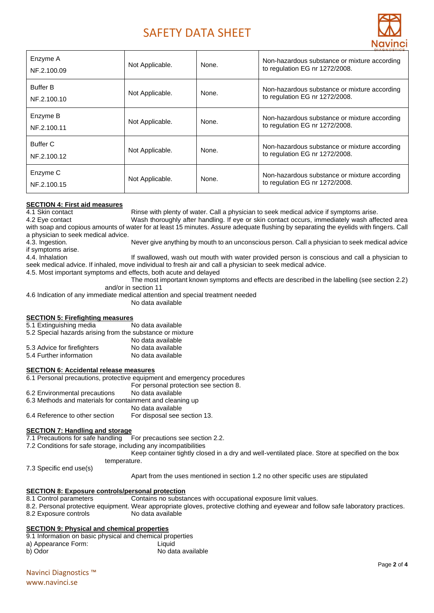

| Enzyme A<br>NF.2.100.09        | Not Applicable. | None. | Non-hazardous substance or mixture according<br>to regulation EG nr 1272/2008. |  |
|--------------------------------|-----------------|-------|--------------------------------------------------------------------------------|--|
| <b>Buffer B</b><br>NF.2.100.10 | Not Applicable. | None. | Non-hazardous substance or mixture according<br>to regulation EG nr 1272/2008. |  |
| Enzyme B<br>NF.2.100.11        | Not Applicable. | None. | Non-hazardous substance or mixture according<br>to regulation EG nr 1272/2008. |  |
| Buffer C<br>NF.2.100.12        | Not Applicable. | None. | Non-hazardous substance or mixture according<br>to regulation EG nr 1272/2008. |  |
| Enzyme C<br>NF.2.100.15        | Not Applicable. | None. | Non-hazardous substance or mixture according<br>to regulation EG nr 1272/2008. |  |

## **SECTION 4: First aid measures**

4.1 Skin contact **Rinse with plenty of water. Call a physician to seek medical advice if symptoms arise.** 

4.2 Eye contact Wash thoroughly after handling. If eye or skin contact occurs, immediately wash affected area with soap and copious amounts of water for at least 15 minutes. Assure adequate flushing by separating the eyelids with fingers. Call a physician to seek medical advice.

4.3. Ingestion. Never give anything by mouth to an unconscious person. Call a physician to seek medical advice if symptoms arise.

4.4. Inhalation **If swallowed, wash out mouth with water provided person is conscious and call a physician to** seek medical advice. If inhaled, move individual to fresh air and call a physician to seek medical advice.

4.5. Most important symptoms and effects, both acute and delayed

The most important known symptoms and effects are described in the labelling (see section 2.2) and/or in section 11

4.6 Indication of any immediate medical attention and special treatment needed

No data available

### **SECTION 5: Firefighting measures**

5.1 Extinguishing media No data available

5.2 Special hazards arising from the substance or mixture

|                             | No data available |
|-----------------------------|-------------------|
| 5.3 Advice for firefighters | No data available |
| 5.4 Further information     | No data available |

### **SECTION 6: Accidental release measures**

6.1 Personal precautions, protective equipment and emergency procedures For personal protection see section 8. 6.2 Environmental precautions No data available 6.3 Methods and materials for containment and cleaning up No data available

6.4 Reference to other section For disposal see section 13.

#### **SECTION 7: Handling and storage**

7.1 Precautions for safe handling For precautions see section 2.2.

7.2 Conditions for safe storage, including any incompatibilities

Keep container tightly closed in a dry and well-ventilated place. Store at specified on the box temperature.

7.3 Specific end use(s)

Apart from the uses mentioned in section 1.2 no other specific uses are stipulated

#### **SECTION 8: Exposure controls/personal protection**

8.1 Control parameters Contains no substances with occupational exposure limit values. 8.2. Personal protective equipment. Wear appropriate gloves, protective clothing and eyewear and follow safe laboratory practices. 8.2 Exposure controls No data available

#### **SECTION 9: Physical and chemical properties**

9.1 Information on basic physical and chemical properties a) Appearance Form: Liquid b) Odor No data available

Navinci Diagnostics ™ www.navinci.se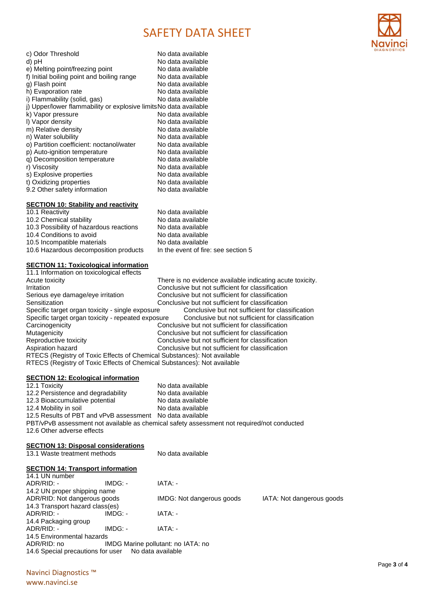

| c) Odor Threshold<br>d) pH<br>e) Melting point/freezing point<br>f) Initial boiling point and boiling range<br>g) Flash point<br>h) Evaporation rate | No data available<br>No data available<br>No data available<br>No data available<br>No data available<br>No data available |
|------------------------------------------------------------------------------------------------------------------------------------------------------|----------------------------------------------------------------------------------------------------------------------------|
| i) Flammability (solid, gas)                                                                                                                         | No data available                                                                                                          |
| j) Upper/lower flammability or explosive limitsNo data available                                                                                     |                                                                                                                            |
| k) Vapor pressure                                                                                                                                    | No data available                                                                                                          |
| I) Vapor density                                                                                                                                     | No data available                                                                                                          |
| m) Relative density                                                                                                                                  | No data available                                                                                                          |
| n) Water solubility                                                                                                                                  | No data available                                                                                                          |
| o) Partition coefficient: noctanol/water                                                                                                             | No data available                                                                                                          |
| p) Auto-ignition temperature                                                                                                                         | No data available                                                                                                          |
| g) Decomposition temperature                                                                                                                         | No data available                                                                                                          |
| r) Viscosity                                                                                                                                         | No data available                                                                                                          |
| s) Explosive properties                                                                                                                              | No data available                                                                                                          |
| t) Oxidizing properties                                                                                                                              | No data available                                                                                                          |
|                                                                                                                                                      | No data available                                                                                                          |
| 9.2 Other safety information                                                                                                                         |                                                                                                                            |
|                                                                                                                                                      |                                                                                                                            |

### **SECTION 10: Stability and reactivity**

10.1 Reactivity **No data available** No data available 10.2 Chemical stability<br>10.3 Possibility of hazardous reactions No data available 10.3 Possibility of hazardous reactions No data available<br>10.4 Conditions to avoid No data available 10.4 Conditions to avoid<br>
10.5 Incompatible materials<br>
No data available 10.5 Incompatible materials No data available<br>10.6 Hazardous decomposition products In the event of fire: see section 5 10.6 Hazardous decomposition products

#### **SECTION 11: Toxicological information**

| 11.1 Information on toxicological effects                               |                                                           |  |  |
|-------------------------------------------------------------------------|-----------------------------------------------------------|--|--|
| Acute toxicity                                                          | There is no evidence available indicating acute toxicity. |  |  |
| Irritation                                                              | Conclusive but not sufficient for classification          |  |  |
| Serious eye damage/eye irritation                                       | Conclusive but not sufficient for classification          |  |  |
| Sensitization                                                           | Conclusive but not sufficient for classification          |  |  |
| Specific target organ toxicity - single exposure                        | Conclusive but not sufficient for classification          |  |  |
| Specific target organ toxicity - repeated exposure                      | Conclusive but not sufficient for classification          |  |  |
| Carcinogenicity                                                         | Conclusive but not sufficient for classification          |  |  |
| Mutagenicity                                                            | Conclusive but not sufficient for classification          |  |  |
| Reproductive toxicity                                                   | Conclusive but not sufficient for classification          |  |  |
| Aspiration hazard                                                       | Conclusive but not sufficient for classification          |  |  |
| RTECS (Registry of Toxic Effects of Chemical Substances): Not available |                                                           |  |  |
| RTECS (Registry of Toxic Effects of Chemical Substances): Not available |                                                           |  |  |

#### **SECTION 12: Ecological information**

**SECTION 13: Disposal considerations**

| 12.1 Toxicity                                             | No data available                                                                          |
|-----------------------------------------------------------|--------------------------------------------------------------------------------------------|
| 12.2 Persistence and degradability                        | No data available                                                                          |
| 12.3 Bioaccumulative potential                            | No data available                                                                          |
| 12.4 Mobility in soil                                     | No data available                                                                          |
| 12.5 Results of PBT and vPvB assessment No data available |                                                                                            |
|                                                           | PBT/vPvB assessment not available as chemical safety assessment not required/not conducted |
| 12.6 Other adverse effects                                |                                                                                            |

| 13.1 Waste treatment methods |                                                                                                                                           | No data available                                                                                                      |  |  |
|------------------------------|-------------------------------------------------------------------------------------------------------------------------------------------|------------------------------------------------------------------------------------------------------------------------|--|--|
|                              |                                                                                                                                           |                                                                                                                        |  |  |
|                              |                                                                                                                                           |                                                                                                                        |  |  |
| $IMDG: -$                    | IATA: -                                                                                                                                   |                                                                                                                        |  |  |
|                              |                                                                                                                                           |                                                                                                                        |  |  |
| ADR/RID: Not dangerous goods |                                                                                                                                           | IATA: Not dangerous goods                                                                                              |  |  |
|                              |                                                                                                                                           |                                                                                                                        |  |  |
| $IMDG: -$                    | IATA: -                                                                                                                                   |                                                                                                                        |  |  |
|                              |                                                                                                                                           |                                                                                                                        |  |  |
| $IMDG: -$                    | IATA: -                                                                                                                                   |                                                                                                                        |  |  |
|                              |                                                                                                                                           |                                                                                                                        |  |  |
|                              |                                                                                                                                           |                                                                                                                        |  |  |
|                              |                                                                                                                                           |                                                                                                                        |  |  |
|                              | <b>SECTION 14: Transport information</b><br>14.2 UN proper shipping name<br>14.3 Transport hazard class(es)<br>14.5 Environmental hazards | IMDG: Not dangerous goods<br>IMDG Marine pollutant: no IATA: no<br>14.6 Special precautions for user No data available |  |  |